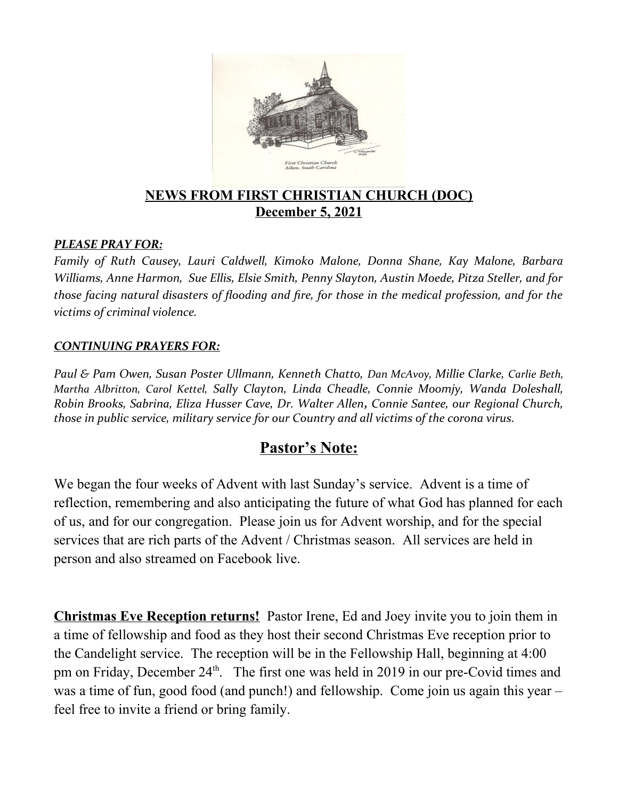

# **NEWS FROM FIRST CHRISTIAN CHURCH (DOC) December 5, 2021**

#### *PLEASE PRAY FOR:*

*Family of Ruth Causey, Lauri Caldwell, Kimoko Malone, Donna Shane, Kay Malone, Barbara Williams, Anne Harmon, Sue Ellis, Elsie Smith, Penny Slayton, Austin Moede, Pitza Steller, and for those facing natural disasters of flooding and fire, for those in the medical profession, and for the victims of criminal violence.*

#### *CONTINUING PRAYERS FOR:*

*Paul & Pam Owen, Susan Poster Ullmann, Kenneth Chatto, Dan McAvoy, Millie Clarke, Carlie Beth, Martha Albritton, Carol Kettel, Sally Clayton, Linda Cheadle, Connie Moomjy, Wanda Doleshall, Robin Brooks, Sabrina, Eliza Husser Cave, Dr. Walter Allen, Connie Santee, our Regional Church, those in public service, military service for our Country and all victims of the corona virus.* 

# **Pastor's Note:**

We began the four weeks of Advent with last Sunday's service. Advent is a time of reflection, remembering and also anticipating the future of what God has planned for each of us, and for our congregation. Please join us for Advent worship, and for the special services that are rich parts of the Advent / Christmas season. All services are held in person and also streamed on Facebook live.

**Christmas Eve Reception returns!** Pastor Irene, Ed and Joey invite you to join them in a time of fellowship and food as they host their second Christmas Eve reception prior to the Candelight service. The reception will be in the Fellowship Hall, beginning at 4:00 pm on Friday, December  $24<sup>th</sup>$ . The first one was held in 2019 in our pre-Covid times and was a time of fun, good food (and punch!) and fellowship. Come join us again this year – feel free to invite a friend or bring family.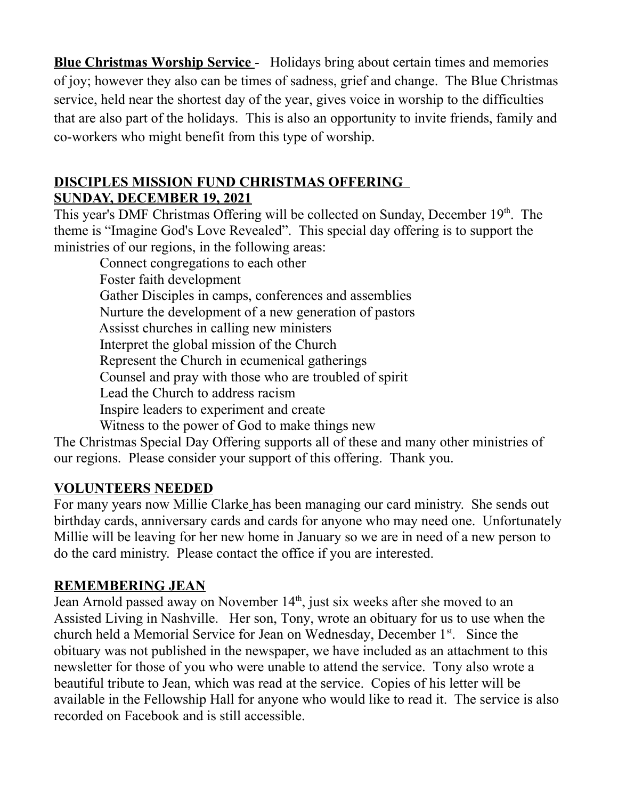**Blue Christmas Worship Service** - Holidays bring about certain times and memories of joy; however they also can be times of sadness, grief and change. The Blue Christmas service, held near the shortest day of the year, gives voice in worship to the difficulties that are also part of the holidays. This is also an opportunity to invite friends, family and co-workers who might benefit from this type of worship.

### **DISCIPLES MISSION FUND CHRISTMAS OFFERING SUNDAY, DECEMBER 19, 2021**

This year's DMF Christmas Offering will be collected on Sunday, December 19th. The theme is "Imagine God's Love Revealed". This special day offering is to support the ministries of our regions, in the following areas:

 Connect congregations to each other Foster faith development Gather Disciples in camps, conferences and assemblies Nurture the development of a new generation of pastors Assisst churches in calling new ministers Interpret the global mission of the Church Represent the Church in ecumenical gatherings Counsel and pray with those who are troubled of spirit Lead the Church to address racism Inspire leaders to experiment and create Witness to the power of God to make things new

The Christmas Special Day Offering supports all of these and many other ministries of our regions. Please consider your support of this offering. Thank you.

# **VOLUNTEERS NEEDED**

For many years now Millie Clarke has been managing our card ministry. She sends out birthday cards, anniversary cards and cards for anyone who may need one. Unfortunately Millie will be leaving for her new home in January so we are in need of a new person to do the card ministry. Please contact the office if you are interested.

# **REMEMBERING JEAN**

Jean Arnold passed away on November 14<sup>th</sup>, just six weeks after she moved to an Assisted Living in Nashville. Her son, Tony, wrote an obituary for us to use when the church held a Memorial Service for Jean on Wednesday, December 1<sup>st</sup>. Since the obituary was not published in the newspaper, we have included as an attachment to this newsletter for those of you who were unable to attend the service. Tony also wrote a beautiful tribute to Jean, which was read at the service. Copies of his letter will be available in the Fellowship Hall for anyone who would like to read it. The service is also recorded on Facebook and is still accessible.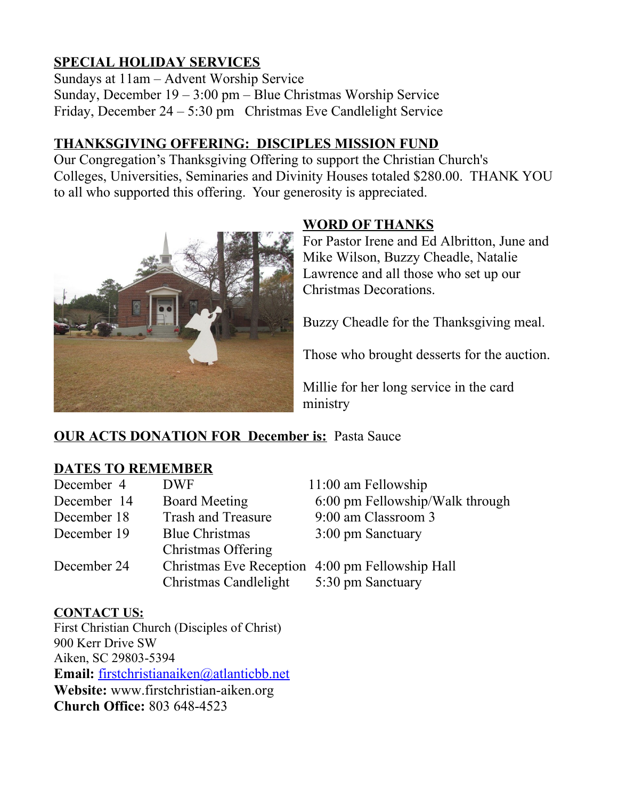# **SPECIAL HOLIDAY SERVICES**

Sundays at 11am – Advent Worship Service Sunday, December 19 – 3:00 pm – Blue Christmas Worship Service Friday, December 24 – 5:30 pm Christmas Eve Candlelight Service

# **THANKSGIVING OFFERING: DISCIPLES MISSION FUND**

Our Congregation's Thanksgiving Offering to support the Christian Church's Colleges, Universities, Seminaries and Divinity Houses totaled \$280.00. THANK YOU to all who supported this offering. Your generosity is appreciated.



### **WORD OF THANKS**

For Pastor Irene and Ed Albritton, June and Mike Wilson, Buzzy Cheadle, Natalie Lawrence and all those who set up our Christmas Decorations.

Buzzy Cheadle for the Thanksgiving meal.

Those who brought desserts for the auction.

Millie for her long service in the card ministry

# **OUR ACTS DONATION FOR December is: Pasta Sauce**

### **DATES TO REMEMBER**

| <b>DWF</b>                | $11:00$ am Fellowship                           |
|---------------------------|-------------------------------------------------|
| <b>Board Meeting</b>      | 6:00 pm Fellowship/Walk through                 |
| <b>Trash and Treasure</b> | 9:00 am Classroom 3                             |
| <b>Blue Christmas</b>     | 3:00 pm Sanctuary                               |
| Christmas Offering        |                                                 |
|                           | Christmas Eve Reception 4:00 pm Fellowship Hall |
| Christmas Candlelight     | 5:30 pm Sanctuary                               |
|                           |                                                 |

### **CONTACT US:**

First Christian Church (Disciples of Christ) 900 Kerr Drive SW Aiken, SC 29803-5394 **Email:** [firstchristianaiken@atlanticbb.net](mailto:firstchristianaiken@atlanticbb.net) **Website:** www.firstchristian-aiken.org **Church Office:** 803 648-4523